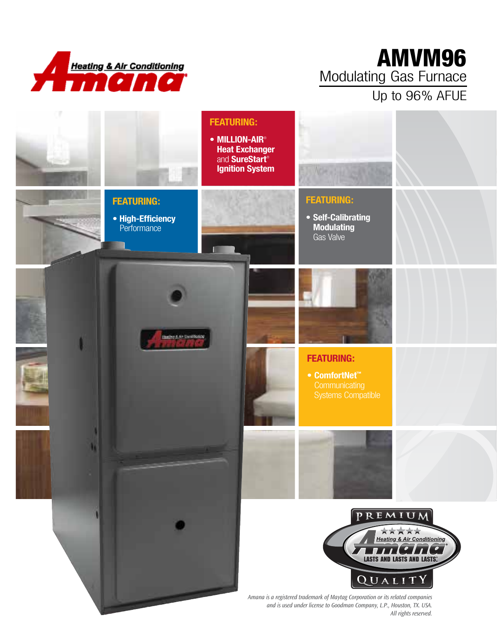

## AMVM96 Modulating Gas Furnace Up to 96% AFUE



*All rights reserved.*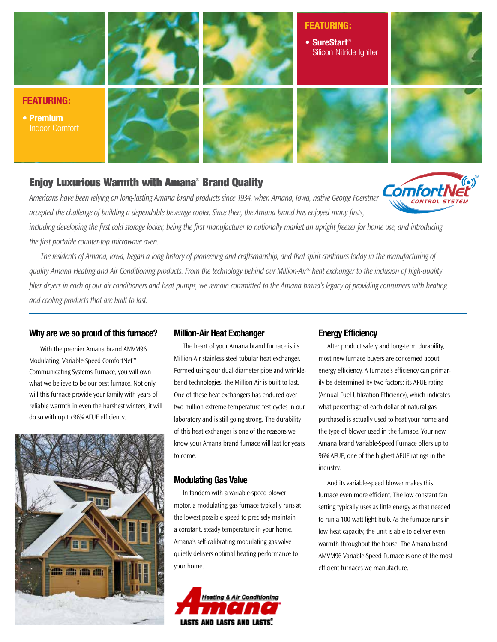

### Enjoy Luxurious Warmth with Amana® Brand Quality

*Americans have been relying on long-lasting Amana brand products since 1934, when Amana, Iowa, native George Foerstner accepted the challenge of building a dependable beverage cooler. Since then, the Amana brand has enjoyed many firsts,* 

*including developing the first cold storage locker, being the first manufacturer to nationally market an upright freezer for home use, and introducing the first portable counter-top microwave oven.* 

*The residents of Amana, Iowa, began a long history of pioneering and craftsmanship, and that spirit continues today in the manufacturing of quality Amana Heating and Air Conditioning products. From the technology behind our Million-Air® heat exchanger to the inclusion of high-quality filter dryers in each of our air conditioners and heat pumps, we remain committed to the Amana brand's legacy of providing consumers with heating and cooling products that are built to last.* 

### **Why are we so proud of this furnace?**

With the premier Amana brand AMVM96 Modulating, Variable-Speed ComfortNet™ Communicating Systems Furnace, you will own what we believe to be our best furnace. Not only will this furnace provide your family with years of reliable warmth in even the harshest winters, it will do so with up to 96% AFUE efficiency.



### **Million-Air Heat Exchanger**

The heart of your Amana brand furnace is its Million-Air stainless-steel tubular heat exchanger. Formed using our dual-diameter pipe and wrinklebend technologies, the Million-Air is built to last. One of these heat exchangers has endured over two million extreme-temperature test cycles in our laboratory and is still going strong. The durability of this heat exchanger is one of the reasons we know your Amana brand furnace will last for years to come.

#### **Modulating Gas Valve**

In tandem with a variable-speed blower motor, a modulating gas furnace typically runs at the lowest possible speed to precisely maintain a constant, steady temperature in your home. Amana's self-calibrating modulating gas valve quietly delivers optimal heating performance to your home.



#### **Energy Efficiency**

After product safety and long-term durability, most new furnace buyers are concerned about energy efficiency. A furnace's efficiency can primarily be determined by two factors: its AFUE rating (Annual Fuel Utilization Efficiency), which indicates what percentage of each dollar of natural gas purchased is actually used to heat your home and the type of blower used in the furnace. Your new Amana brand Variable-Speed Furnace offers up to 96% AFUE, one of the highest AFUE ratings in the industry.

**Comfor** 

And its variable-speed blower makes this furnace even more efficient. The low constant fan setting typically uses as little energy as that needed to run a 100-watt light bulb. As the furnace runs in low-heat capacity, the unit is able to deliver even warmth throughout the house. The Amana brand AMVM96 Variable-Speed Furnace is one of the most efficient furnaces we manufacture.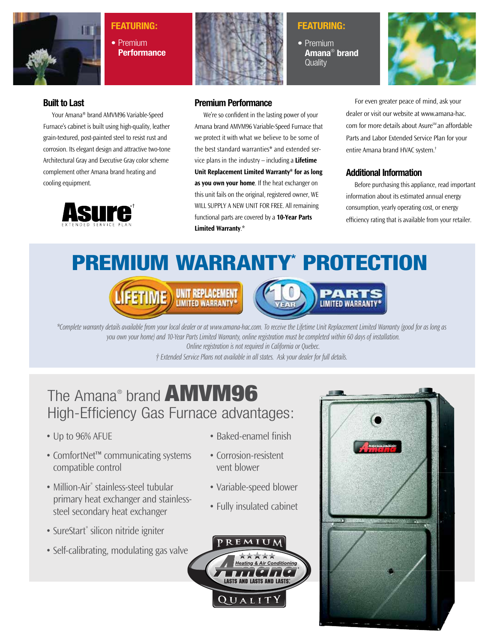

### **Featuring:**

**•** Premium **Performance**



### **Featuring:**

**•** Premium **Amana**®  **brand Quality** 



### **Built to Last**

Your Amana® brand AMVM96 Variable-Speed Furnace's cabinet is built using high-quality, leather grain-textured, post-painted steel to resist rust and corrosion. Its elegant design and attractive two-tone Architectural Gray and Executive Gray color scheme complement other Amana brand heating and cooling equipment.



### **Premium Performance**

We're so confident in the lasting power of your Amana brand AMVM96 Variable-Speed Furnace that we protect it with what we believe to be some of the best standard warranties\* and extended service plans in the industry – including a **Lifetime Unit Replacement Limited Warranty\* for as long as you own your home**. If the heat exchanger on this unit fails on the original, registered owner, WE WILL supply a new UNIT for free. All remaining functional parts are covered by a **10-Year Parts Limited Warranty**.\*

For even greater peace of mind, ask your dealer or visit our website at www.amana-hac. com for more details about Asure<sup>™</sup> an affordable Parts and Labor Extended Service Plan for your entire Amana brand HVAC system.†

### **Additional Information**

Before purchasing this appliance, read important information about its estimated annual energy consumption, yearly operating cost, or energy efficiency rating that is available from your retailer.

premium Warranty\* Protection





*\*Complete warranty details available from your local dealer or at www.amana-hac.com. To receive the Lifetime Unit Replacement Limited Warranty (good for as long as you own your home) and 10-Year Parts Limited Warranty, online registration must be completed within 60 days of installation.* 

*Online registration is not required in California or Quebec.* 

*† Extended Service Plans not available in all states. Ask your dealer for full details.*

# The Amana® brand **AMVM96** High-Efficiency Gas Furnace advantages:

- Up to 96% AFUE
- ComfortNet™ communicating systems compatible control
- Million-Air<sup>®</sup> stainless-steel tubular primary heat exchanger and stainlesssteel secondary heat exchanger
- SureStart® silicon nitride igniter
- Self-calibrating, modulating gas valve
- Baked-enamel finish
- Corrosion-resistent vent blower
- Variable-speed blower
- Fully insulated cabinet